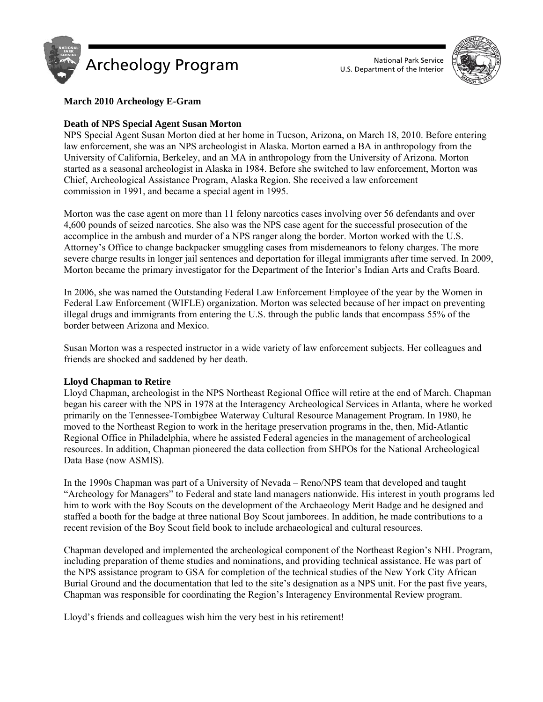



# **March 2010 Archeology E-Gram**

## **Death of NPS Special Agent Susan Morton**

NPS Special Agent Susan Morton died at her home in Tucson, Arizona, on March 18, 2010. Before entering law enforcement, she was an NPS archeologist in Alaska. Morton earned a BA in anthropology from the University of California, Berkeley, and an MA in anthropology from the University of Arizona. Morton started as a seasonal archeologist in Alaska in 1984. Before she switched to law enforcement, Morton was Chief, Archeological Assistance Program, Alaska Region. She received a law enforcement commission in 1991, and became a special agent in 1995.

Morton was the case agent on more than 11 felony narcotics cases involving over 56 defendants and over 4,600 pounds of seized narcotics. She also was the NPS case agent for the successful prosecution of the accomplice in the ambush and murder of a NPS ranger along the border. Morton worked with the U.S. Attorney's Office to change backpacker smuggling cases from misdemeanors to felony charges. The more severe charge results in longer jail sentences and deportation for illegal immigrants after time served. In 2009, Morton became the primary investigator for the Department of the Interior's Indian Arts and Crafts Board.

In 2006, she was named the Outstanding Federal Law Enforcement Employee of the year by the Women in Federal Law Enforcement (WIFLE) organization. Morton was selected because of her impact on preventing illegal drugs and immigrants from entering the U.S. through the public lands that encompass 55% of the border between Arizona and Mexico.

Susan Morton was a respected instructor in a wide variety of law enforcement subjects. Her colleagues and friends are shocked and saddened by her death.

### **Lloyd Chapman to Retire**

Lloyd Chapman, archeologist in the NPS Northeast Regional Office will retire at the end of March. Chapman began his career with the NPS in 1978 at the Interagency Archeological Services in Atlanta, where he worked primarily on the Tennessee-Tombigbee Waterway Cultural Resource Management Program. In 1980, he moved to the Northeast Region to work in the heritage preservation programs in the, then, Mid-Atlantic Regional Office in Philadelphia, where he assisted Federal agencies in the management of archeological resources. In addition, Chapman pioneered the data collection from SHPOs for the National Archeological Data Base (now ASMIS).

In the 1990s Chapman was part of a University of Nevada – Reno/NPS team that developed and taught "Archeology for Managers" to Federal and state land managers nationwide. His interest in youth programs led him to work with the Boy Scouts on the development of the Archaeology Merit Badge and he designed and staffed a booth for the badge at three national Boy Scout jamborees. In addition, he made contributions to a recent revision of the Boy Scout field book to include archaeological and cultural resources.

Chapman developed and implemented the archeological component of the Northeast Region's NHL Program, including preparation of theme studies and nominations, and providing technical assistance. He was part of the NPS assistance program to GSA for completion of the technical studies of the New York City African Burial Ground and the documentation that led to the site's designation as a NPS unit. For the past five years, Chapman was responsible for coordinating the Region's Interagency Environmental Review program.

Lloyd's friends and colleagues wish him the very best in his retirement!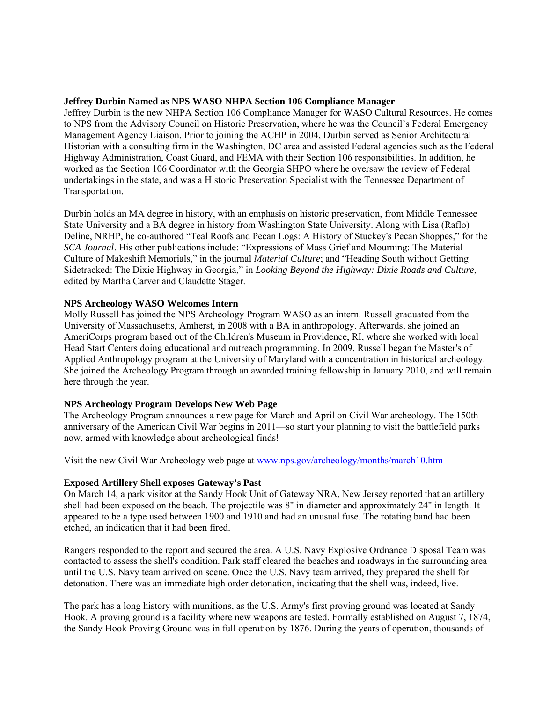#### **Jeffrey Durbin Named as NPS WASO NHPA Section 106 Compliance Manager**

Jeffrey Durbin is the new NHPA Section 106 Compliance Manager for WASO Cultural Resources. He comes to NPS from the Advisory Council on Historic Preservation, where he was the Council's Federal Emergency Management Agency Liaison. Prior to joining the ACHP in 2004, Durbin served as Senior Architectural Historian with a consulting firm in the Washington, DC area and assisted Federal agencies such as the Federal Highway Administration, Coast Guard, and FEMA with their Section 106 responsibilities. In addition, he worked as the Section 106 Coordinator with the Georgia SHPO where he oversaw the review of Federal undertakings in the state, and was a Historic Preservation Specialist with the Tennessee Department of Transportation.

Durbin holds an MA degree in history, with an emphasis on historic preservation, from Middle Tennessee State University and a BA degree in history from Washington State University. Along with Lisa (Raflo) Deline, NRHP, he co-authored "Teal Roofs and Pecan Logs: A History of Stuckey's Pecan Shoppes," for the *SCA Journal*. His other publications include: "Expressions of Mass Grief and Mourning: The Material Culture of Makeshift Memorials," in the journal *Material Culture*; and "Heading South without Getting Sidetracked: The Dixie Highway in Georgia," in *Looking Beyond the Highway: Dixie Roads and Culture*, edited by Martha Carver and Claudette Stager.

### **NPS Archeology WASO Welcomes Intern**

Molly Russell has joined the NPS Archeology Program WASO as an intern. Russell graduated from the University of Massachusetts, Amherst, in 2008 with a BA in anthropology. Afterwards, she joined an AmeriCorps program based out of the Children's Museum in Providence, RI, where she worked with local Head Start Centers doing educational and outreach programming. In 2009, Russell began the Master's of Applied Anthropology program at the University of Maryland with a concentration in historical archeology. She joined the Archeology Program through an awarded training fellowship in January 2010, and will remain here through the year.

### **NPS Archeology Program Develops New Web Page**

The Archeology Program announces a new page for March and April on Civil War archeology. The 150th anniversary of the American Civil War begins in 2011—so start your planning to visit the battlefield parks now, armed with knowledge about archeological finds!

Visit the new Civil War Archeology web page at <www.nps.gov/archeology/months/march10.htm>

### **Exposed Artillery Shell exposes Gateway's Past**

On March 14, a park visitor at the Sandy Hook Unit of Gateway NRA, New Jersey reported that an artillery shell had been exposed on the beach. The projectile was 8" in diameter and approximately 24" in length. It appeared to be a type used between 1900 and 1910 and had an unusual fuse. The rotating band had been etched, an indication that it had been fired.

Rangers responded to the report and secured the area. A U.S. Navy Explosive Ordnance Disposal Team was contacted to assess the shell's condition. Park staff cleared the beaches and roadways in the surrounding area until the U.S. Navy team arrived on scene. Once the U.S. Navy team arrived, they prepared the shell for detonation. There was an immediate high order detonation, indicating that the shell was, indeed, live.

The park has a long history with munitions, as the U.S. Army's first proving ground was located at Sandy Hook. A proving ground is a facility where new weapons are tested. Formally established on August 7, 1874, the Sandy Hook Proving Ground was in full operation by 1876. During the years of operation, thousands of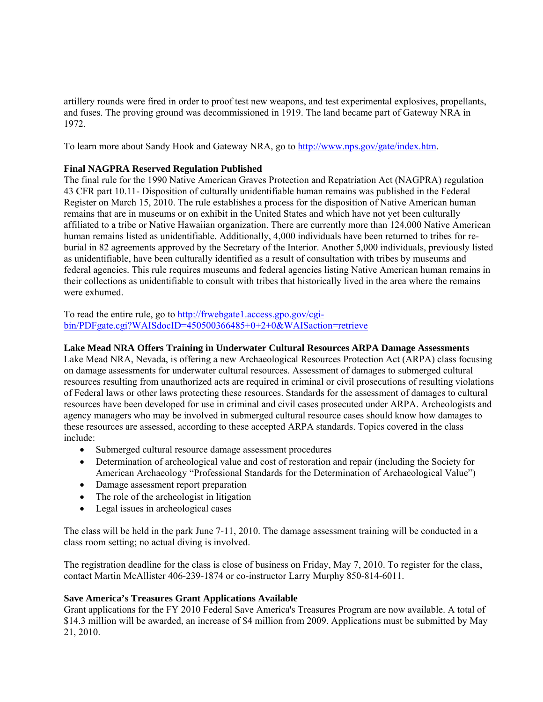artillery rounds were fired in order to proof test new weapons, and test experimental explosives, propellants, and fuses. The proving ground was decommissioned in 1919. The land became part of Gateway NRA in 1972.

To learn more about Sandy Hook and Gateway NRA, go to [http://www.nps.gov/gate/index.htm.](http://www.nps.gov/gate/index.htm)

## **Final NAGPRA Reserved Regulation Published**

The final rule for the 1990 Native American Graves Protection and Repatriation Act (NAGPRA) regulation 43 CFR part 10.11- Disposition of culturally unidentifiable human remains was published in the Federal Register on March 15, 2010. The rule establishes a process for the disposition of Native American human remains that are in museums or on exhibit in the United States and which have not yet been culturally affiliated to a tribe or Native Hawaiian organization. There are currently more than 124,000 Native American human remains listed as unidentifiable. Additionally, 4,000 individuals have been returned to tribes for reburial in 82 agreements approved by the Secretary of the Interior. Another 5,000 individuals, previously listed as unidentifiable, have been culturally identified as a result of consultation with tribes by museums and federal agencies. This rule requires museums and federal agencies listing Native American human remains in their collections as unidentifiable to consult with tribes that historically lived in the area where the remains were exhumed.

To read the entire rule, go to http://frwebgate1.access.gpo.gov/cgi[bin/PDFgate.cgi?WAISdocID=450500366485+0+2+0&WAISaction=retrieve](http://frwebgate1.access.gpo.gov/cgibin/)

## **Lake Mead NRA Offers Training in Underwater Cultural Resources ARPA Damage Assessments**

Lake Mead NRA, Nevada, is offering a new Archaeological Resources Protection Act (ARPA) class focusing on damage assessments for underwater cultural resources. Assessment of damages to submerged cultural resources resulting from unauthorized acts are required in criminal or civil prosecutions of resulting violations of Federal laws or other laws protecting these resources. Standards for the assessment of damages to cultural resources have been developed for use in criminal and civil cases prosecuted under ARPA. Archeologists and agency managers who may be involved in submerged cultural resource cases should know how damages to these resources are assessed, according to these accepted ARPA standards. Topics covered in the class include:

- Submerged cultural resource damage assessment procedures
- Determination of archeological value and cost of restoration and repair (including the Society for American Archaeology "Professional Standards for the Determination of Archaeological Value")
- Damage assessment report preparation
- The role of the archeologist in litigation
- Legal issues in archeological cases

The class will be held in the park June 7-11, 2010. The damage assessment training will be conducted in a class room setting; no actual diving is involved.

The registration deadline for the class is close of business on Friday, May 7, 2010. To register for the class, contact Martin McAllister 406-239-1874 or co-instructor Larry Murphy 850-814-6011.

### **Save America's Treasures Grant Applications Available**

Grant applications for the FY 2010 Federal Save America's Treasures Program are now available. A total of \$14.3 million will be awarded, an increase of \$4 million from 2009. Applications must be submitted by May 21, 2010.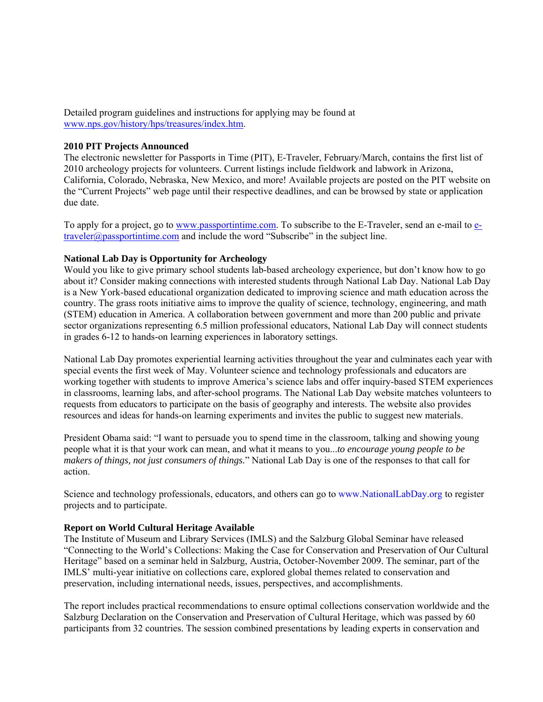Detailed program guidelines and instructions for applying may be found at [www.nps.gov/history/hps/treasures/index.htm.](www.nps.gov/history/hps/treasures/index.htm)

#### **2010 PIT Projects Announced**

The electronic newsletter for Passports in Time (PIT), E-Traveler, February/March, contains the first list of 2010 archeology projects for volunteers. Current listings include fieldwork and labwork in Arizona, California, Colorado, Nebraska, New Mexico, and more! Available projects are posted on the PIT website on the "Current Projects" web page until their respective deadlines, and can be browsed by state or application due date.

To apply for a project, go to<www.passportintime.com>. To subscribe to the E-Traveler, send an e-mail to etraveler@passportintime.com and include the word "Subscribe" in the subject line.

#### **National Lab Day is Opportunity for Archeology**

Would you like to give primary school students lab-based archeology experience, but don't know how to go about it? Consider making connections with interested students through National Lab Day. National Lab Day is a New York-based educational organization dedicated to improving science and math education across the country. The grass roots initiative aims to improve the quality of science, technology, engineering, and math (STEM) education in America. A collaboration between government and more than 200 public and private sector organizations representing 6.5 million professional educators, National Lab Day will connect students in grades 6-12 to hands-on learning experiences in laboratory settings.

National Lab Day promotes experiential learning activities throughout the year and culminates each year with special events the first week of May. Volunteer science and technology professionals and educators are working together with students to improve America's science labs and offer inquiry-based STEM experiences in classrooms, learning labs, and after-school programs. The National Lab Day website matches volunteers to requests from educators to participate on the basis of geography and interests. The website also provides resources and ideas for hands-on learning experiments and invites the public to suggest new materials.

President Obama said: "I want to persuade you to spend time in the classroom, talking and showing young people what it is that your work can mean, and what it means to you...*to encourage young people to be makers of things, not just consumers of things.*" National Lab Day is one of the responses to that call for action.

Science and technology professionals, educators, and others can go to <www.NationalLabDay.org> to register projects and to participate.

### **Report on World Cultural Heritage Available**

The Institute of Museum and Library Services (IMLS) and the Salzburg Global Seminar have released "Connecting to the World's Collections: Making the Case for Conservation and Preservation of Our Cultural Heritage" based on a seminar held in Salzburg, Austria, October-November 2009. The seminar, part of the IMLS' multi-year initiative on collections care, explored global themes related to conservation and preservation, including international needs, issues, perspectives, and accomplishments.

The report includes practical recommendations to ensure optimal collections conservation worldwide and the Salzburg Declaration on the Conservation and Preservation of Cultural Heritage, which was passed by 60 participants from 32 countries. The session combined presentations by leading experts in conservation and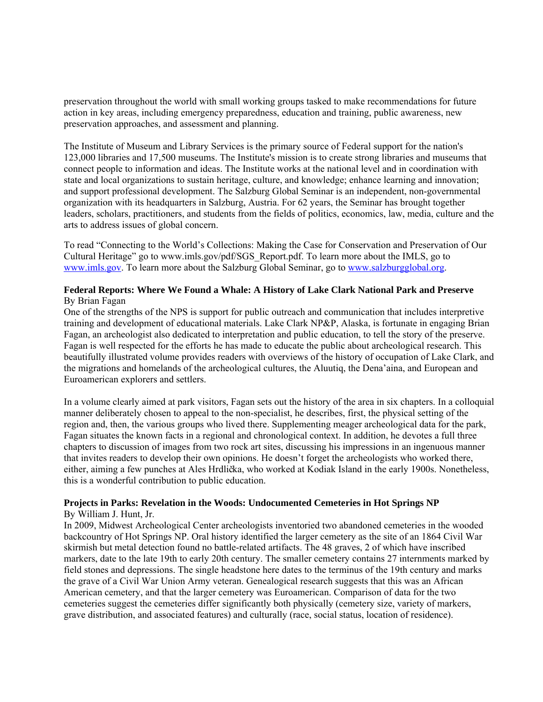preservation throughout the world with small working groups tasked to make recommendations for future action in key areas, including emergency preparedness, education and training, public awareness, new preservation approaches, and assessment and planning.

The Institute of Museum and Library Services is the primary source of Federal support for the nation's 123,000 libraries and 17,500 museums. The Institute's mission is to create strong libraries and museums that connect people to information and ideas. The Institute works at the national level and in coordination with state and local organizations to sustain heritage, culture, and knowledge; enhance learning and innovation; and support professional development. The Salzburg Global Seminar is an independent, non-governmental organization with its headquarters in Salzburg, Austria. For 62 years, the Seminar has brought together leaders, scholars, practitioners, and students from the fields of politics, economics, law, media, culture and the arts to address issues of global concern.

To read "Connecting to the World's Collections: Making the Case for Conservation and Preservation of Our Cultural Heritage" go to www.imls.gov/pdf/SGS\_Report.pdf. To learn more about the IMLS, go to [www.imls.gov.](www.imls.gov) To learn more about the Salzburg Global Seminar, go to <www.salzburgglobal.org>.

#### **Federal Reports: Where We Found a Whale: A History of Lake Clark National Park and Preserve**  By Brian Fagan

One of the strengths of the NPS is support for public outreach and communication that includes interpretive training and development of educational materials. Lake Clark NP&P, Alaska, is fortunate in engaging Brian Fagan, an archeologist also dedicated to interpretation and public education, to tell the story of the preserve. Fagan is well respected for the efforts he has made to educate the public about archeological research. This beautifully illustrated volume provides readers with overviews of the history of occupation of Lake Clark, and the migrations and homelands of the archeological cultures, the Aluutiq, the Dena'aina, and European and Euroamerican explorers and settlers.

In a volume clearly aimed at park visitors, Fagan sets out the history of the area in six chapters. In a colloquial manner deliberately chosen to appeal to the non-specialist, he describes, first, the physical setting of the region and, then, the various groups who lived there. Supplementing meager archeological data for the park, Fagan situates the known facts in a regional and chronological context. In addition, he devotes a full three chapters to discussion of images from two rock art sites, discussing his impressions in an ingenuous manner that invites readers to develop their own opinions. He doesn't forget the archeologists who worked there, either, aiming a few punches at Ales Hrdlička, who worked at Kodiak Island in the early 1900s. Nonetheless, this is a wonderful contribution to public education.

#### **Projects in Parks: Revelation in the Woods: Undocumented Cemeteries in Hot Springs NP**

## By William J. Hunt, Jr.

In 2009, Midwest Archeological Center archeologists inventoried two abandoned cemeteries in the wooded backcountry of Hot Springs NP. Oral history identified the larger cemetery as the site of an 1864 Civil War skirmish but metal detection found no battle-related artifacts. The 48 graves, 2 of which have inscribed markers, date to the late 19th to early 20th century. The smaller cemetery contains 27 internments marked by field stones and depressions. The single headstone here dates to the terminus of the 19th century and marks the grave of a Civil War Union Army veteran. Genealogical research suggests that this was an African American cemetery, and that the larger cemetery was Euroamerican. Comparison of data for the two cemeteries suggest the cemeteries differ significantly both physically (cemetery size, variety of markers, grave distribution, and associated features) and culturally (race, social status, location of residence).